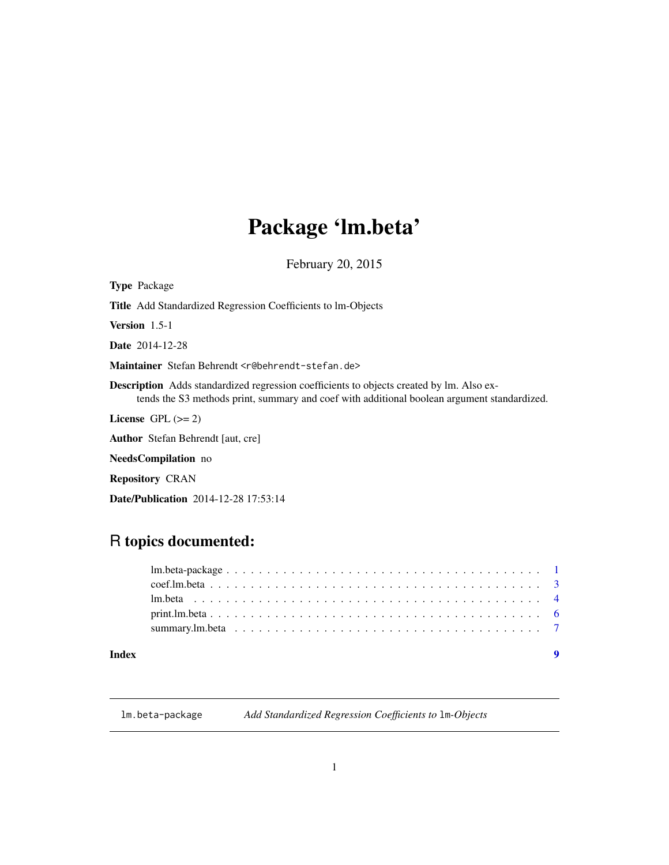# <span id="page-0-0"></span>Package 'lm.beta'

February 20, 2015

<span id="page-0-1"></span>

# Date/Publication 2014-12-28 17:53:14

# R topics documented:

# **Index** [9](#page-8-0)

lm.beta-package *Add Standardized Regression Coefficients to* lm*-Objects*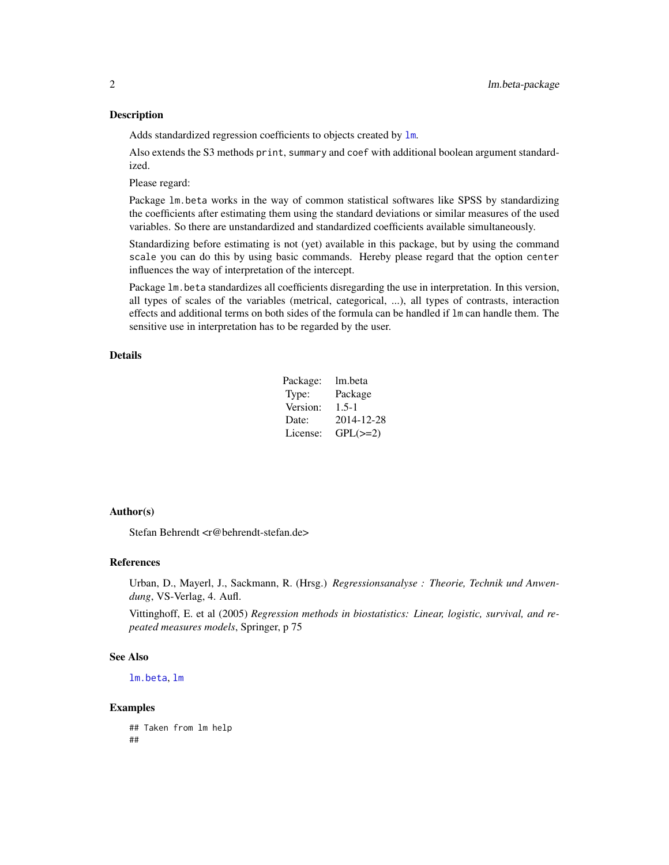#### <span id="page-1-0"></span>Description

Adds standardized regression coefficients to objects created by  $\text{lm}$  $\text{lm}$  $\text{lm}$ .

Also extends the S3 methods print, summary and coef with additional boolean argument standardized.

Please regard:

Package lm.beta works in the way of common statistical softwares like SPSS by standardizing the coefficients after estimating them using the standard deviations or similar measures of the used variables. So there are unstandardized and standardized coefficients available simultaneously.

Standardizing before estimating is not (yet) available in this package, but by using the command scale you can do this by using basic commands. Hereby please regard that the option center influences the way of interpretation of the intercept.

Package lm.beta standardizes all coefficients disregarding the use in interpretation. In this version, all types of scales of the variables (metrical, categorical, ...), all types of contrasts, interaction effects and additional terms on both sides of the formula can be handled if lm can handle them. The sensitive use in interpretation has to be regarded by the user.

# Details

| Package: | lm.beta       |
|----------|---------------|
| Type:    | Package       |
| Version: | $1.5 - 1$     |
| Date:    | 2014-12-28    |
| License: | $GPL(\geq=2)$ |

#### Author(s)

Stefan Behrendt <r@behrendt-stefan.de>

#### References

Urban, D., Mayerl, J., Sackmann, R. (Hrsg.) *Regressionsanalyse : Theorie, Technik und Anwendung*, VS-Verlag, 4. Aufl.

Vittinghoff, E. et al (2005) *Regression methods in biostatistics: Linear, logistic, survival, and repeated measures models*, Springer, p 75

#### See Also

[lm.beta](#page-3-1), [lm](#page-0-1)

#### Examples

## Taken from lm help ##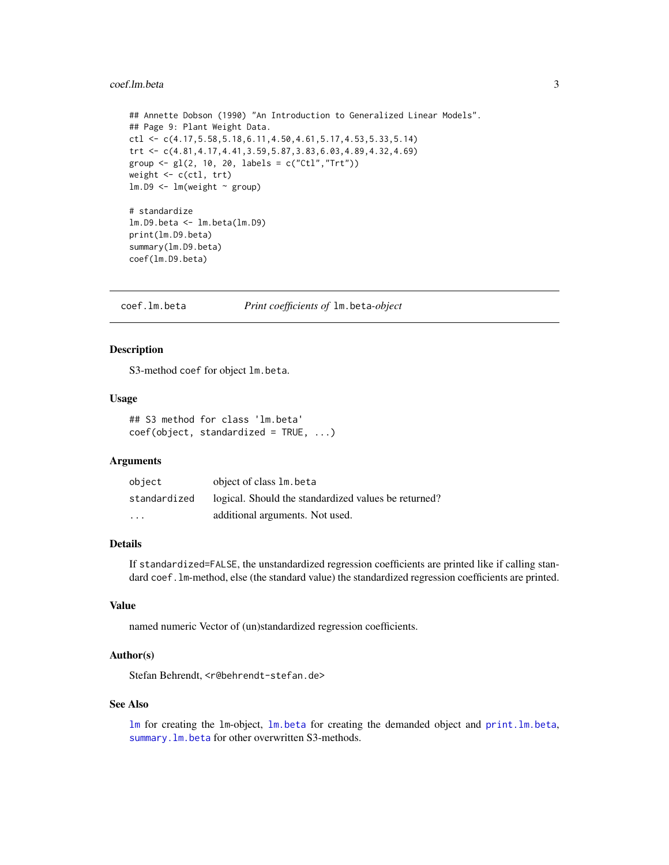#### <span id="page-2-0"></span>coef.lm.beta 3

```
## Annette Dobson (1990) "An Introduction to Generalized Linear Models".
## Page 9: Plant Weight Data.
ctl <- c(4.17,5.58,5.18,6.11,4.50,4.61,5.17,4.53,5.33,5.14)
trt <- c(4.81,4.17,4.41,3.59,5.87,3.83,6.03,4.89,4.32,4.69)
group <- gl(2, 10, 20, 1abels = c("Ctl", "Trt"))weight <- c(ctl, trt)
lm.D9 \leq lm(weight \sim group)# standardize
lm.D9.beta <- lm.beta(lm.D9)
print(lm.D9.beta)
summary(lm.D9.beta)
coef(lm.D9.beta)
```
<span id="page-2-1"></span>coef.lm.beta *Print coefficients of* lm.beta*-object*

# Description

S3-method coef for object lm.beta.

#### Usage

## S3 method for class 'lm.beta' coef(object, standardized = TRUE, ...)

# Arguments

| object                  | object of class 1m. beta                             |
|-------------------------|------------------------------------------------------|
| standardized            | logical. Should the standardized values be returned? |
| $\cdot$ $\cdot$ $\cdot$ | additional arguments. Not used.                      |

# Details

If standardized=FALSE, the unstandardized regression coefficients are printed like if calling standard coef.lm-method, else (the standard value) the standardized regression coefficients are printed.

# Value

named numeric Vector of (un)standardized regression coefficients.

# Author(s)

Stefan Behrendt, <r@behrendt-stefan.de>

# See Also

[lm](#page-0-1) for creating the lm-object, [lm.beta](#page-3-1) for creating the demanded object and [print.lm.beta](#page-5-1), [summary.lm.beta](#page-6-1) for other overwritten S3-methods.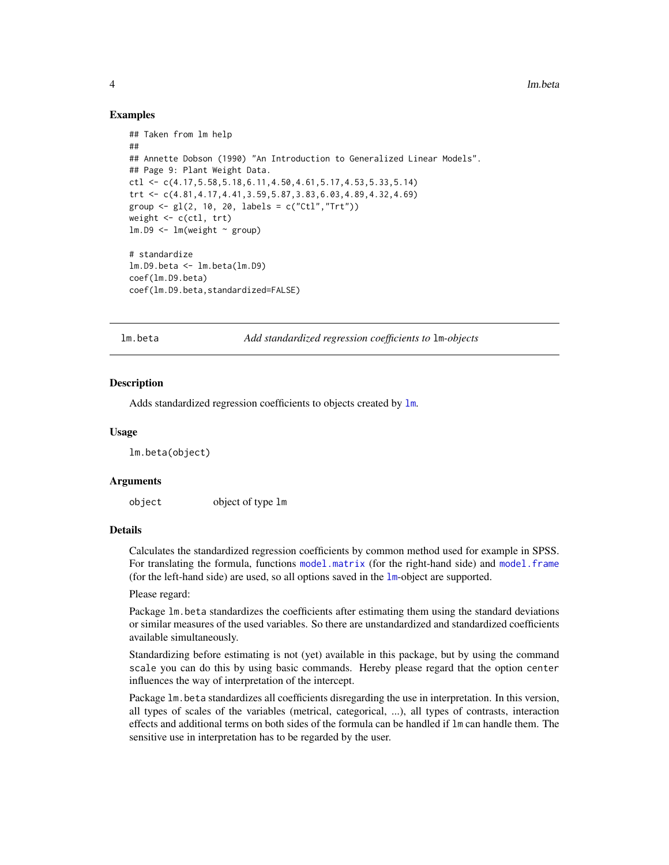## Examples

```
## Taken from lm help
##
## Annette Dobson (1990) "An Introduction to Generalized Linear Models".
## Page 9: Plant Weight Data.
ctl \leq c(4.17,5.58,5.18,6.11,4.50,4.61,5.17,4.53,5.33,5.14)
trt <- c(4.81,4.17,4.41,3.59,5.87,3.83,6.03,4.89,4.32,4.69)
group <- gl(2, 10, 20, labels = c("Ctl", "Trt"))weight <- c(ctl, trt)
lm.D9 \leq -lm(weight \sim group)# standardize
lm.D9.beta <- lm.beta(lm.D9)
coef(lm.D9.beta)
coef(lm.D9.beta,standardized=FALSE)
```
lm.beta *Add standardized regression coefficients to* lm*-objects*

## Description

Adds standardized regression coefficients to objects created by  $\text{lm}$  $\text{lm}$  $\text{lm}$ .

#### Usage

lm.beta(object)

#### Arguments

object object of type lm

#### Details

Calculates the standardized regression coefficients by common method used for example in SPSS. For translating the formula, functions [model.matrix](#page-0-1) (for the right-hand side) and [model.frame](#page-0-1) (for the left-hand side) are used, so all options saved in the  $lm$ -object are supported.

Please regard:

Package lm.beta standardizes the coefficients after estimating them using the standard deviations or similar measures of the used variables. So there are unstandardized and standardized coefficients available simultaneously.

Standardizing before estimating is not (yet) available in this package, but by using the command scale you can do this by using basic commands. Hereby please regard that the option center influences the way of interpretation of the intercept.

Package lm.beta standardizes all coefficients disregarding the use in interpretation. In this version, all types of scales of the variables (metrical, categorical, ...), all types of contrasts, interaction effects and additional terms on both sides of the formula can be handled if lm can handle them. The sensitive use in interpretation has to be regarded by the user.

<span id="page-3-0"></span>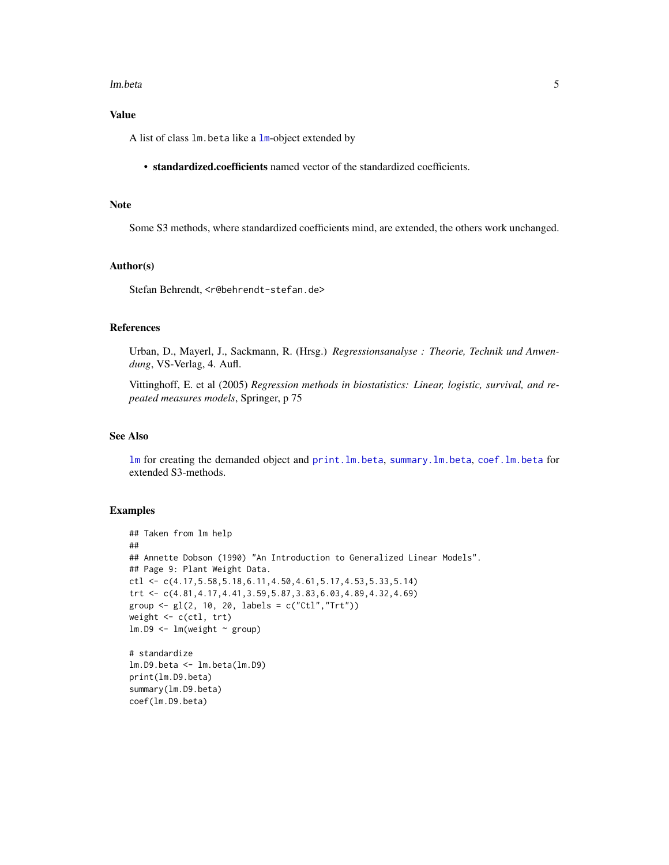#### <span id="page-4-0"></span>lm.beta 5

# Value

A list of class lm.beta like a [lm](#page-0-1)-object extended by

• standardized.coefficients named vector of the standardized coefficients.

#### Note

Some S3 methods, where standardized coefficients mind, are extended, the others work unchanged.

# Author(s)

Stefan Behrendt, <r@behrendt-stefan.de>

# References

Urban, D., Mayerl, J., Sackmann, R. (Hrsg.) *Regressionsanalyse : Theorie, Technik und Anwendung*, VS-Verlag, 4. Aufl.

Vittinghoff, E. et al (2005) *Regression methods in biostatistics: Linear, logistic, survival, and repeated measures models*, Springer, p 75

# See Also

[lm](#page-0-1) for creating the demanded object and [print.lm.beta](#page-5-1), [summary.lm.beta](#page-6-1), [coef.lm.beta](#page-2-1) for extended S3-methods.

# Examples

```
## Taken from lm help
##
## Annette Dobson (1990) "An Introduction to Generalized Linear Models".
## Page 9: Plant Weight Data.
ctl <- c(4.17,5.58,5.18,6.11,4.50,4.61,5.17,4.53,5.33,5.14)
trt <- c(4.81,4.17,4.41,3.59,5.87,3.83,6.03,4.89,4.32,4.69)
group <- gl(2, 10, 20, 1abels = c("Ctl", "Trt"))weight <- c(ctl, trt)
lm.D9 \leftarrow lm(weight \sim group)# standardize
lm.D9.beta <- lm.beta(lm.D9)
print(lm.D9.beta)
summary(lm.D9.beta)
coef(lm.D9.beta)
```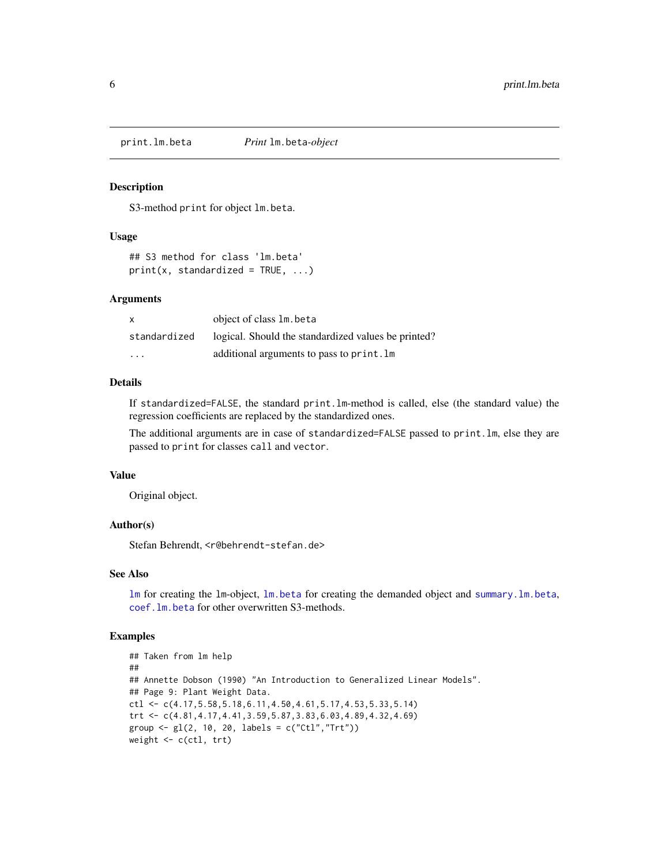<span id="page-5-1"></span><span id="page-5-0"></span>

### Description

S3-method print for object lm.beta.

#### Usage

```
## S3 method for class 'lm.beta'
print(x, standardized = TRUE, ...)
```
#### Arguments

| $\mathsf{x}$ | object of class 1m. beta                            |
|--------------|-----------------------------------------------------|
| standardized | logical. Should the standardized values be printed? |
| .            | additional arguments to pass to print. Im           |

# Details

If standardized=FALSE, the standard print.lm-method is called, else (the standard value) the regression coefficients are replaced by the standardized ones.

The additional arguments are in case of standardized=FALSE passed to print.lm, else they are passed to print for classes call and vector.

#### Value

Original object.

# Author(s)

Stefan Behrendt, <r@behrendt-stefan.de>

## See Also

[lm](#page-0-1) for creating the lm-object, [lm.beta](#page-3-1) for creating the demanded object and [summary.lm.beta](#page-6-1), [coef.lm.beta](#page-2-1) for other overwritten S3-methods.

# Examples

```
## Taken from lm help
##
## Annette Dobson (1990) "An Introduction to Generalized Linear Models".
## Page 9: Plant Weight Data.
ctl \leq c(4.17,5.58,5.18,6.11,4.50,4.61,5.17,4.53,5.33,5.14)
trt <- c(4.81,4.17,4.41,3.59,5.87,3.83,6.03,4.89,4.32,4.69)
group <- gl(2, 10, 20, 1abels = c("Ctl", "Trt"))weight <- c(ctl, trt)
```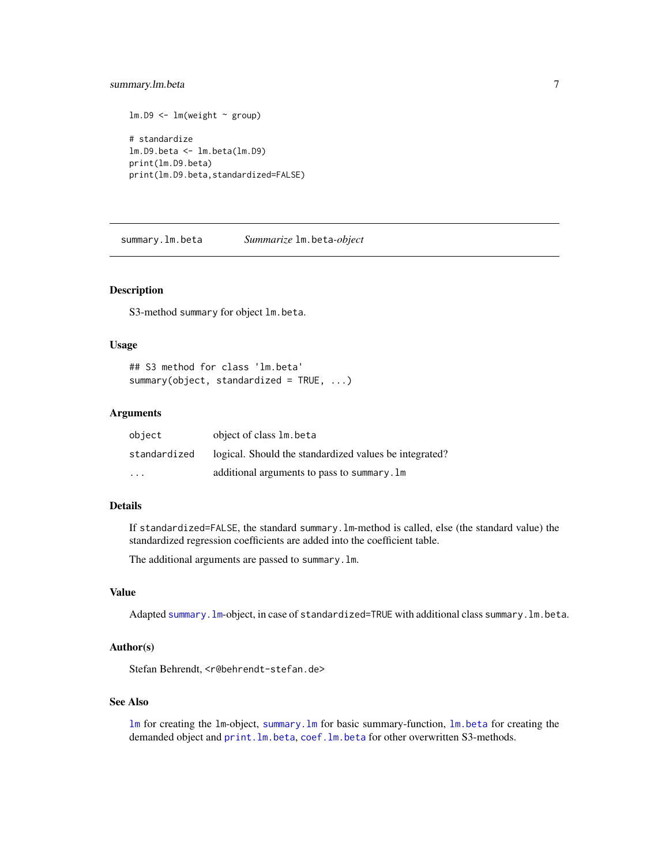# <span id="page-6-0"></span>summary.lm.beta 7

```
lm.D9 \leq -lm(weight \sim group)# standardize
lm.D9.beta <- lm.beta(lm.D9)
print(lm.D9.beta)
print(lm.D9.beta,standardized=FALSE)
```
<span id="page-6-1"></span>summary.lm.beta *Summarize* lm.beta*-object*

#### Description

S3-method summary for object lm.beta.

#### Usage

```
## S3 method for class 'lm.beta'
summary(object, standardized = TRUE, ...)
```
# Arguments

| object                  | object of class 1m. beta                               |
|-------------------------|--------------------------------------------------------|
| standardized            | logical. Should the standardized values be integrated? |
| $\cdot$ $\cdot$ $\cdot$ | additional arguments to pass to summary. Im            |

# Details

If standardized=FALSE, the standard summary.lm-method is called, else (the standard value) the standardized regression coefficients are added into the coefficient table.

The additional arguments are passed to summary.lm.

#### Value

Adapted [summary.lm](#page-0-1)-object, in case of standardized=TRUE with additional class summary.lm.beta.

#### Author(s)

Stefan Behrendt, <r@behrendt-stefan.de>

# See Also

[lm](#page-0-1) for creating the lm-object, [summary.lm](#page-0-1) for basic summary-function, [lm.beta](#page-3-1) for creating the demanded object and print. lm. beta, coef. lm. beta for other overwritten S3-methods.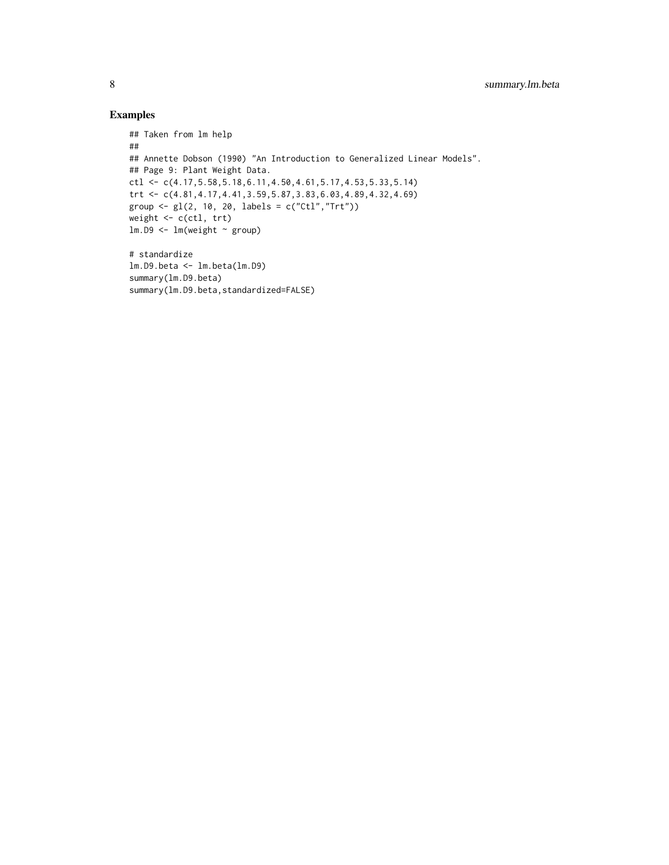# Examples

```
## Taken from lm help
##
## Annette Dobson (1990) "An Introduction to Generalized Linear Models".
## Page 9: Plant Weight Data.
ctl <- c(4.17,5.58,5.18,6.11,4.50,4.61,5.17,4.53,5.33,5.14)
trt <- c(4.81,4.17,4.41,3.59,5.87,3.83,6.03,4.89,4.32,4.69)
group <- gl(2, 10, 20, labels = c("Ctl","Trt"))
weight \leq c(ctl, trt)
lm.D9 \leftarrow lm(weight \sim group)# standardize
lm.D9.beta <- lm.beta(lm.D9)
summary(lm.D9.beta)
summary(lm.D9.beta,standardized=FALSE)
```